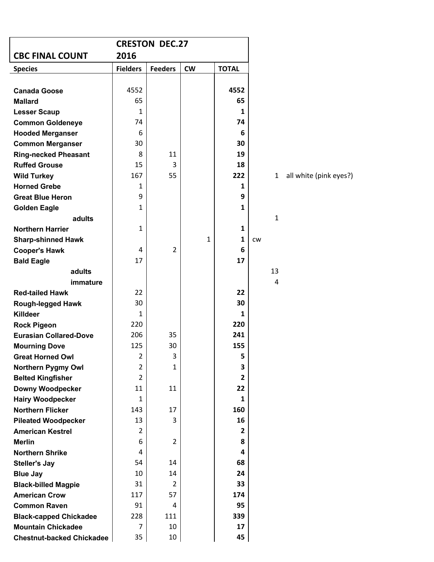| <b>CRESTON DEC.27</b>                               |                      |                |              |                |           |              |     |
|-----------------------------------------------------|----------------------|----------------|--------------|----------------|-----------|--------------|-----|
| <b>CBC FINAL COUNT</b><br>2016                      |                      |                |              |                |           |              |     |
| <b>Species</b>                                      | <b>Fielders</b>      | <b>Feeders</b> | <b>CW</b>    | <b>TOTAL</b>   |           |              |     |
|                                                     |                      |                |              |                |           |              |     |
| <b>Canada Goose</b>                                 | 4552                 |                |              | 4552           |           |              |     |
| <b>Mallard</b>                                      | 65                   |                |              | 65             |           |              |     |
| <b>Lesser Scaup</b>                                 | 1                    |                |              | 1              |           |              |     |
| <b>Common Goldeneye</b>                             | 74                   |                |              | 74             |           |              |     |
| <b>Hooded Merganser</b>                             | 6                    |                |              | 6              |           |              |     |
| <b>Common Merganser</b>                             | 30                   |                |              | 30             |           |              |     |
| <b>Ring-necked Pheasant</b><br><b>Ruffed Grouse</b> | 8                    | 11<br>3        |              | 19<br>18       |           |              |     |
| <b>Wild Turkey</b>                                  | 15<br>167            | 55             |              | 222            |           | $\mathbf{1}$ | all |
| <b>Horned Grebe</b>                                 | 1                    |                |              | 1              |           |              |     |
| <b>Great Blue Heron</b>                             | 9                    |                |              | 9              |           |              |     |
| <b>Golden Eagle</b>                                 | $\mathbf{1}$         |                |              | 1              |           |              |     |
| adults                                              |                      |                |              |                |           | $\mathbf{1}$ |     |
| <b>Northern Harrier</b>                             | $\mathbf{1}$         |                |              | 1              |           |              |     |
| <b>Sharp-shinned Hawk</b>                           |                      |                | $\mathbf{1}$ | 1              | <b>CW</b> |              |     |
| <b>Cooper's Hawk</b>                                | 4                    | $\overline{2}$ |              | 6              |           |              |     |
| <b>Bald Eagle</b>                                   | 17                   |                |              | 17             |           |              |     |
| adults                                              |                      |                |              |                |           | 13           |     |
| immature                                            |                      |                |              |                |           | 4            |     |
| <b>Red-tailed Hawk</b>                              | 22                   |                |              | 22             |           |              |     |
| <b>Rough-legged Hawk</b>                            | 30                   |                |              | 30             |           |              |     |
| <b>Killdeer</b>                                     | 1                    |                |              | 1              |           |              |     |
| <b>Rock Pigeon</b>                                  | 220                  |                |              | 220            |           |              |     |
| <b>Eurasian Collared-Dove</b>                       | 206                  | 35             |              | 241            |           |              |     |
| <b>Mourning Dove</b>                                | 125                  | 30             |              | 155            |           |              |     |
| <b>Great Horned Owl</b>                             | $\overline{2}$       | 3              |              | 5              |           |              |     |
| <b>Northern Pygmy Owl</b>                           | $\overline{2}$       | $\mathbf{1}$   |              | 3              |           |              |     |
| <b>Belted Kingfisher</b>                            | $\overline{2}$       |                |              | $\overline{2}$ |           |              |     |
| <b>Downy Woodpecker</b>                             | 11                   | 11             |              | 22             |           |              |     |
| <b>Hairy Woodpecker</b>                             | 1                    |                |              | 1              |           |              |     |
| <b>Northern Flicker</b>                             | 143                  | 17             |              | 160            |           |              |     |
| <b>Pileated Woodpecker</b>                          | 13<br>$\overline{2}$ | 3              |              | 16             |           |              |     |
| <b>American Kestrel</b><br><b>Merlin</b>            | 6                    | $\overline{2}$ |              | 2<br>8         |           |              |     |
| <b>Northern Shrike</b>                              | 4                    |                |              | 4              |           |              |     |
| <b>Steller's Jay</b>                                | 54                   | 14             |              | 68             |           |              |     |
| <b>Blue Jay</b>                                     | 10                   | 14             |              | 24             |           |              |     |
| <b>Black-billed Magpie</b>                          | 31                   | 2              |              | 33             |           |              |     |
| <b>American Crow</b>                                | 117                  | 57             |              | 174            |           |              |     |
| <b>Common Raven</b>                                 | 91                   | 4              |              | 95             |           |              |     |
| <b>Black-capped Chickadee</b>                       | 228                  | 111            |              | 339            |           |              |     |
| <b>Mountain Chickadee</b>                           | 7                    | 10             |              | 17             |           |              |     |
| <b>Chestnut-backed Chickadee</b>                    | 35                   | 10             |              | 45             |           |              |     |

**white (pink eyes?)**